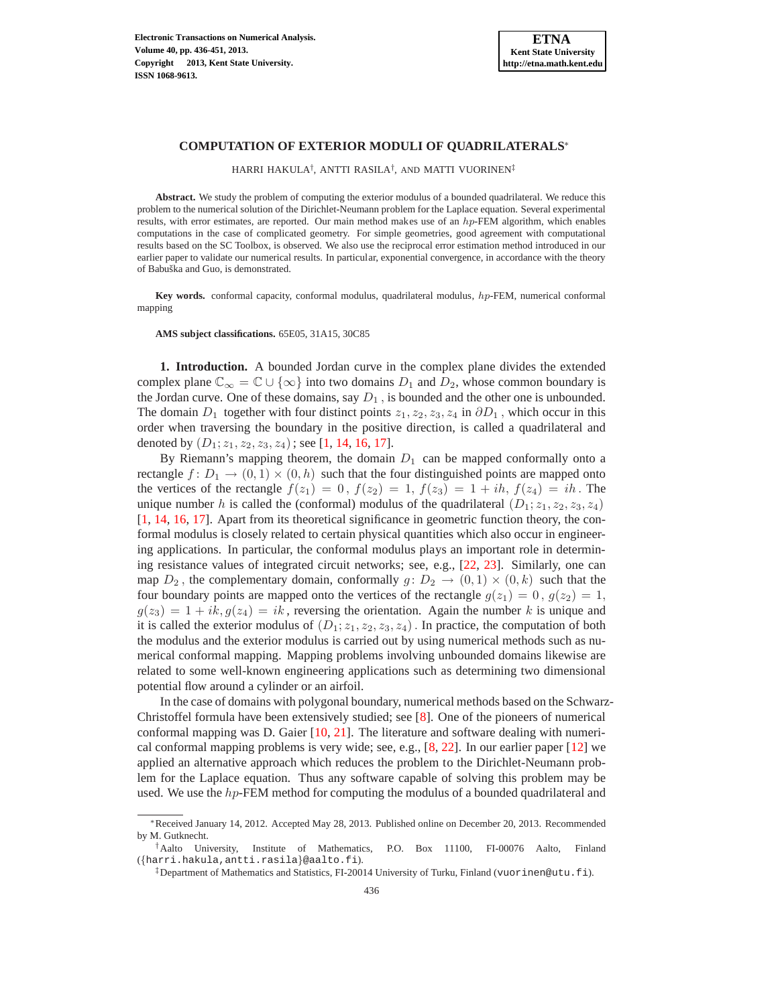# **COMPUTATION OF EXTERIOR MODULI OF QUADRILATERALS**<sup>∗</sup>

HARRI HAKULA† , ANTTI RASILA† , AND MATTI VUORINEN‡

**Abstract.** We study the problem of computing the exterior modulus of a bounded quadrilateral. We reduce this problem to the numerical solution of the Dirichlet-Neumann problem for the Laplace equation. Several experimental results, with error estimates, are reported. Our main method makes use of an hp-FEM algorithm, which enables computations in the case of complicated geometry. For simple geometries, good agreement with computational results based on the SC Toolbox, is observed. We also use the reciprocal error estimation method introduced in our earlier paper to validate our numerical results. In particular, exponential convergence, in accordance with the theory of Babuška and Guo, is demonstrated.

**Key words.** conformal capacity, conformal modulus, quadrilateral modulus, hp-FEM, numerical conformal mapping

**AMS subject classifications.** 65E05, 31A15, 30C85

**1. Introduction.** A bounded Jordan curve in the complex plane divides the extended complex plane  $\mathbb{C}_{\infty} = \mathbb{C} \cup \{\infty\}$  into two domains  $D_1$  and  $D_2$ , whose common boundary is the Jordan curve. One of these domains, say  $D_1$ , is bounded and the other one is unbounded. The domain  $D_1$  together with four distinct points  $z_1, z_2, z_3, z_4$  in  $\partial D_1$ , which occur in this order when traversing the boundary in the positive direction, is called a quadrilateral and denoted by  $(D_1; z_1, z_2, z_3, z_4)$ ; see [\[1,](#page-14-0) [14,](#page-15-0) [16,](#page-15-1) [17\]](#page-15-2).

By Riemann's mapping theorem, the domain  $D_1$  can be mapped conformally onto a rectangle  $f: D_1 \to (0,1) \times (0,h)$  such that the four distinguished points are mapped onto the vertices of the rectangle  $f(z_1) = 0$ ,  $f(z_2) = 1$ ,  $f(z_3) = 1 + ih$ ,  $f(z_4) = ih$ . The unique number h is called the (conformal) modulus of the quadrilateral  $(D_1; z_1, z_2, z_3, z_4)$ [\[1,](#page-14-0) [14,](#page-15-0) [16,](#page-15-1) [17\]](#page-15-2). Apart from its theoretical significance in geometric function theory, the conformal modulus is closely related to certain physical quantities which also occur in engineering applications. In particular, the conformal modulus plays an important role in determining resistance values of integrated circuit networks; see, e.g., [\[22,](#page-15-3) [23\]](#page-15-4). Similarly, one can map  $D_2$ , the complementary domain, conformally  $g: D_2 \to (0,1) \times (0,k)$  such that the four boundary points are mapped onto the vertices of the rectangle  $g(z_1) = 0$ ,  $g(z_2) = 1$ ,  $g(z_3) = 1 + ik, g(z_4) = ik$ , reversing the orientation. Again the number k is unique and it is called the exterior modulus of  $(D_1; z_1, z_2, z_3, z_4)$ . In practice, the computation of both the modulus and the exterior modulus is carried out by using numerical methods such as numerical conformal mapping. Mapping problems involving unbounded domains likewise are related to some well-known engineering applications such as determining two dimensional potential flow around a cylinder or an airfoil.

In the case of domains with polygonal boundary, numerical methods based on the Schwarz-Christoffel formula have been extensively studied; see [\[8\]](#page-14-1). One of the pioneers of numerical conformal mapping was D. Gaier [\[10,](#page-15-5) [21\]](#page-15-6). The literature and software dealing with numerical conformal mapping problems is very wide; see, e.g., [\[8,](#page-14-1) [22\]](#page-15-3). In our earlier paper [\[12\]](#page-15-7) we applied an alternative approach which reduces the problem to the Dirichlet-Neumann problem for the Laplace equation. Thus any software capable of solving this problem may be used. We use the  $hp$ -FEM method for computing the modulus of a bounded quadrilateral and

<sup>∗</sup>Received January 14, 2012. Accepted May 28, 2013. Published online on December 20, 2013. Recommended by M. Gutknecht.

<sup>†</sup>Aalto University, Institute of Mathematics, P.O. Box 11100, FI-00076 Aalto, Finland ({harri.hakula,antti.rasila}@aalto.fi).

<sup>‡</sup>Department of Mathematics and Statistics, FI-20014 University of Turku, Finland (vuorinen@utu.fi).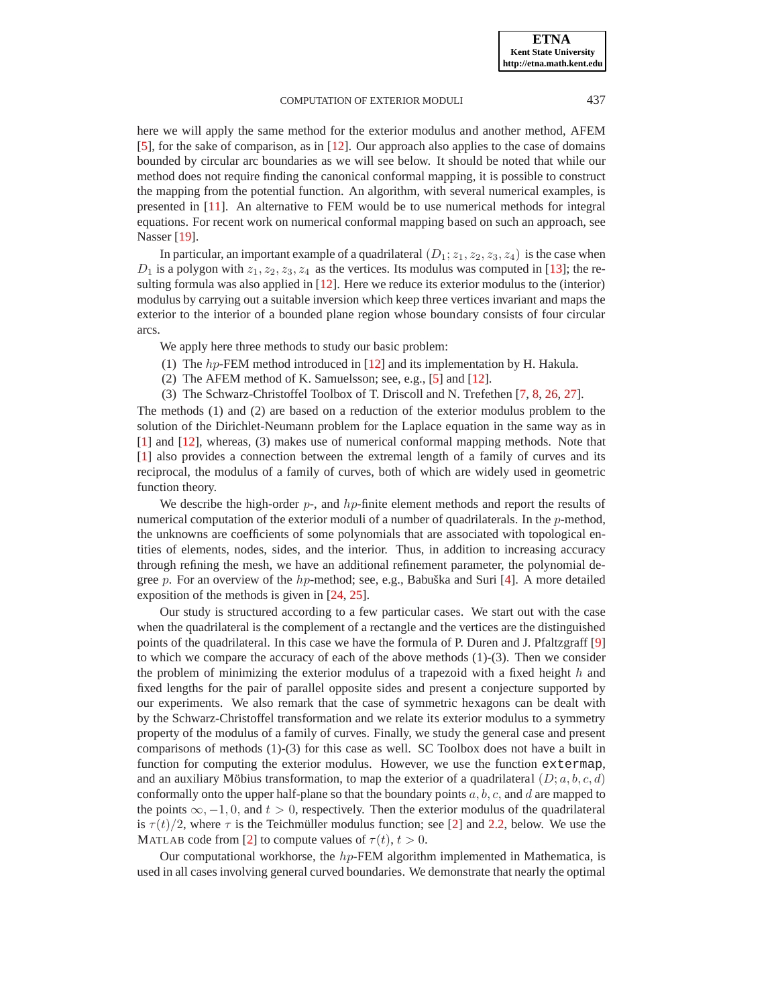here we will apply the same method for the exterior modulus and another method, AFEM [\[5\]](#page-14-2), for the sake of comparison, as in [\[12\]](#page-15-7). Our approach also applies to the case of domains bounded by circular arc boundaries as we will see below. It should be noted that while our method does not require finding the canonical conformal mapping, it is possible to construct the mapping from the potential function. An algorithm, with several numerical examples, is presented in [\[11\]](#page-15-8). An alternative to FEM would be to use numerical methods for integral equations. For recent work on numerical conformal mapping based on such an approach, see Nasser [\[19\]](#page-15-9).

In particular, an important example of a quadrilateral  $(D_1; z_1, z_2, z_3, z_4)$  is the case when  $D_1$  is a polygon with  $z_1, z_2, z_3, z_4$  as the vertices. Its modulus was computed in [\[13\]](#page-15-10); the resulting formula was also applied in [\[12\]](#page-15-7). Here we reduce its exterior modulus to the (interior) modulus by carrying out a suitable inversion which keep three vertices invariant and maps the exterior to the interior of a bounded plane region whose boundary consists of four circular arcs.

We apply here three methods to study our basic problem:

- (1) The hp-FEM method introduced in [\[12\]](#page-15-7) and its implementation by H. Hakula.
- (2) The AFEM method of K. Samuelsson; see, e.g., [\[5\]](#page-14-2) and [\[12\]](#page-15-7).
- (3) The Schwarz-Christoffel Toolbox of T. Driscoll and N. Trefethen [\[7,](#page-14-3) [8,](#page-14-1) [26,](#page-15-11) [27\]](#page-15-12).

The methods (1) and (2) are based on a reduction of the exterior modulus problem to the solution of the Dirichlet-Neumann problem for the Laplace equation in the same way as in [\[1\]](#page-14-0) and [\[12\]](#page-15-7), whereas, (3) makes use of numerical conformal mapping methods. Note that [\[1\]](#page-14-0) also provides a connection between the extremal length of a family of curves and its reciprocal, the modulus of a family of curves, both of which are widely used in geometric function theory.

We describe the high-order  $p$ -, and  $hp$ -finite element methods and report the results of numerical computation of the exterior moduli of a number of quadrilaterals. In the *p*-method, the unknowns are coefficients of some polynomials that are associated with topological entities of elements, nodes, sides, and the interior. Thus, in addition to increasing accuracy through refining the mesh, we have an additional refinement parameter, the polynomial de-gree p. For an overview of the hp-method; see, e.g., Babuška and Suri [[4\]](#page-14-4). A more detailed exposition of the methods is given in [\[24,](#page-15-13) [25\]](#page-15-14).

Our study is structured according to a few particular cases. We start out with the case when the quadrilateral is the complement of a rectangle and the vertices are the distinguished points of the quadrilateral. In this case we have the formula of P. Duren and J. Pfaltzgraff [\[9\]](#page-15-15) to which we compare the accuracy of each of the above methods (1)-(3). Then we consider the problem of minimizing the exterior modulus of a trapezoid with a fixed height  $h$  and fixed lengths for the pair of parallel opposite sides and present a conjecture supported by our experiments. We also remark that the case of symmetric hexagons can be dealt with by the Schwarz-Christoffel transformation and we relate its exterior modulus to a symmetry property of the modulus of a family of curves. Finally, we study the general case and present comparisons of methods (1)-(3) for this case as well. SC Toolbox does not have a built in function for computing the exterior modulus. However, we use the function extermap, and an auxiliary Möbius transformation, to map the exterior of a quadrilateral  $(D; a, b, c, d)$ conformally onto the upper half-plane so that the boundary points  $a, b, c$ , and  $d$  are mapped to the points  $\infty$ ,  $-1$ , 0, and  $t > 0$ , respectively. Then the exterior modulus of the quadrilateral is  $\tau(t)/2$ , where  $\tau$  is the Teichmüller modulus function; see [[2\]](#page-14-5) and [2.2,](#page-2-0) below. We use the MATLAB code from [\[2\]](#page-14-5) to compute values of  $\tau(t)$ ,  $t > 0$ .

Our computational workhorse, the  $hp$ -FEM algorithm implemented in Mathematica, is used in all cases involving general curved boundaries. We demonstrate that nearly the optimal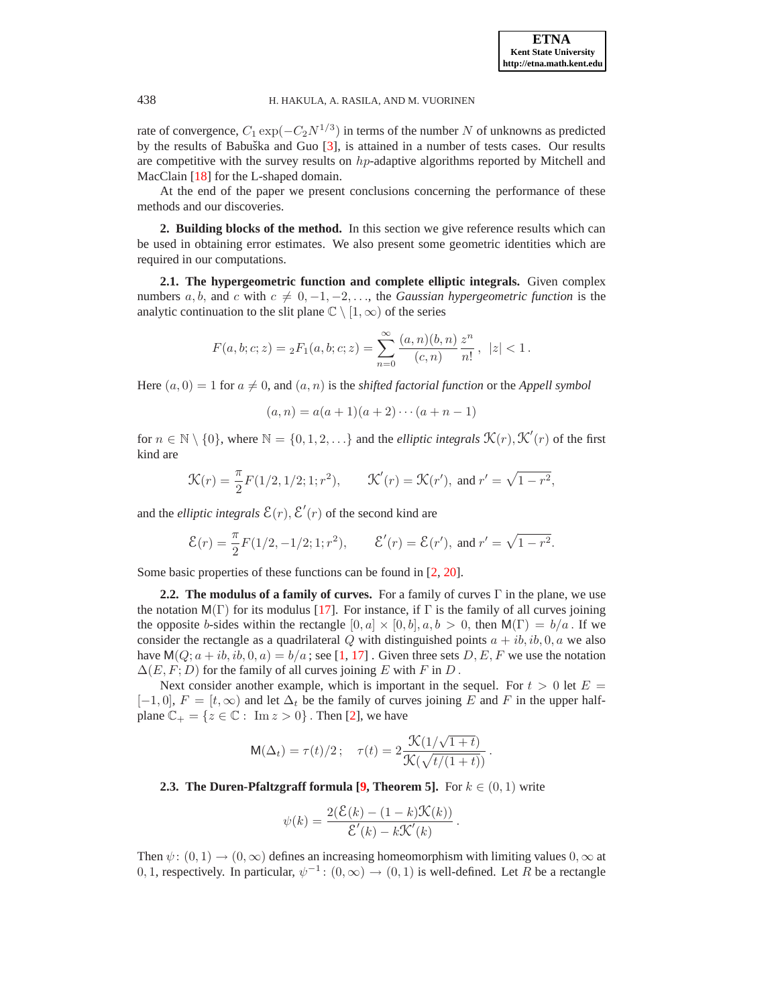rate of convergence,  $C_1 \exp(-C_2 N^{1/3})$  in terms of the number N of unknowns as predicted by the results of Babuška and Guo [[3\]](#page-14-6), is attained in a number of tests cases. Our results are competitive with the survey results on  $hp$ -adaptive algorithms reported by Mitchell and MacClain [\[18\]](#page-15-16) for the L-shaped domain.

At the end of the paper we present conclusions concerning the performance of these methods and our discoveries.

**2. Building blocks of the method.** In this section we give reference results which can be used in obtaining error estimates. We also present some geometric identities which are required in our computations.

**2.1. The hypergeometric function and complete elliptic integrals.** Given complex numbers a, b, and c with  $c \neq 0, -1, -2, \ldots$ , the *Gaussian hypergeometric function* is the analytic continuation to the slit plane  $\mathbb{C} \setminus [1,\infty)$  of the series

$$
F(a, b; c; z) = {}_2F_1(a, b; c; z) = \sum_{n=0}^{\infty} \frac{(a, n)(b, n)}{(c, n)} \frac{z^n}{n!}, \ |z| < 1.
$$

Here  $(a, 0) = 1$  for  $a \neq 0$ , and  $(a, n)$  is the *shifted factorial function* or the *Appell symbol* 

$$
(a, n) = a(a + 1)(a + 2) \cdots (a + n - 1)
$$

for  $n \in \mathbb{N} \setminus \{0\}$ , where  $\mathbb{N} = \{0, 1, 2, \ldots\}$  and the *elliptic integrals*  $\mathcal{K}(r)$ ,  $\mathcal{K}'(r)$  of the first kind are

$$
\mathcal{K}(r) = \frac{\pi}{2} F(1/2, 1/2; 1; r^2), \qquad \mathcal{K}'(r) = \mathcal{K}(r'), \text{ and } r' = \sqrt{1 - r^2},
$$

and the *elliptic integrals*  $\mathcal{E}(r)$ ,  $\mathcal{E}'(r)$  of the second kind are

$$
\mathcal{E}(r) = \frac{\pi}{2} F(1/2, -1/2; 1; r^2), \qquad \mathcal{E}'(r) = \mathcal{E}(r'), \text{ and } r' = \sqrt{1 - r^2}.
$$

<span id="page-2-0"></span>Some basic properties of these functions can be found in [\[2,](#page-14-5) [20\]](#page-15-17).

**2.2. The modulus of a family of curves.** For a family of curves Γ in the plane, we use the notation  $M(\Gamma)$  for its modulus [\[17\]](#page-15-2). For instance, if  $\Gamma$  is the family of all curves joining the opposite b-sides within the rectangle  $[0, a] \times [0, b]$ ,  $a, b > 0$ , then  $M(\Gamma) = b/a$ . If we consider the rectangle as a quadrilateral Q with distinguished points  $a + ib, ib, 0, a$  we also have  $M(Q; a + ib, ib, 0, a) = b/a$ ; see [\[1,](#page-14-0) [17\]](#page-15-2). Given three sets D, E, F we use the notation  $\Delta(E, F; D)$  for the family of all curves joining E with F in D.

Next consider another example, which is important in the sequel. For  $t > 0$  let  $E =$  $[-1, 0], F = [t, \infty)$  and let  $\Delta_t$  be the family of curves joining E and F in the upper halfplane  $\mathbb{C}_+ = \{z \in \mathbb{C} : \text{ Im } z > 0\}$ . Then [\[2\]](#page-14-5), we have

$$
\mathsf{M}(\Delta_t) = \tau(t)/2; \quad \tau(t) = 2 \frac{\mathcal{K}(1/\sqrt{1+t})}{\mathcal{K}(\sqrt{t/(1+t)})}.
$$

**2.3. The Duren-Pfaltzgraff formula**  $[9,$  **Theorem 5].** For  $k \in (0,1)$  write

$$
\psi(k) = \frac{2(\mathcal{E}(k) - (1 - k)\mathcal{K}(k))}{\mathcal{E}'(k) - k\mathcal{K}'(k)}.
$$

Then  $\psi: (0, 1) \rightarrow (0, \infty)$  defines an increasing homeomorphism with limiting values  $0, \infty$  at 0, 1, respectively. In particular,  $\psi^{-1}$ :  $(0, \infty) \rightarrow (0, 1)$  is well-defined. Let R be a rectangle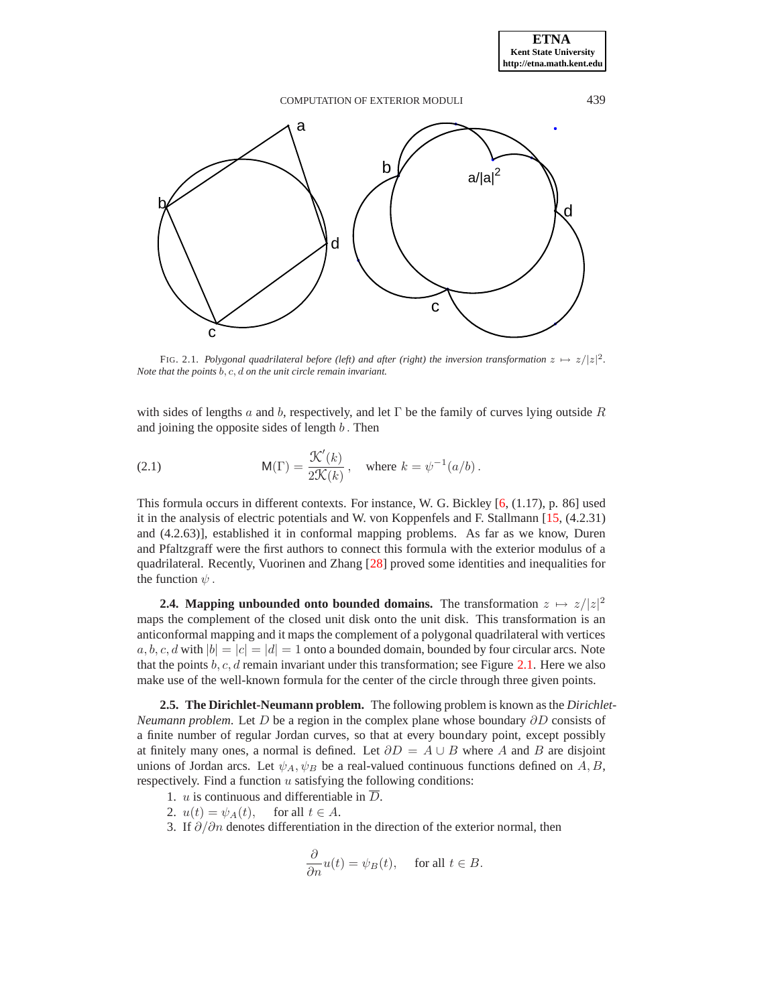

FIG. 2.1. *Polygonal quadrilateral before (left) and after (right) the inversion transformation*  $z \mapsto z/|z|^2$ *. Note that the points* b, c, d *on the unit circle remain invariant.*

<span id="page-3-0"></span>with sides of lengths a and b, respectively, and let  $\Gamma$  be the family of curves lying outside R and joining the opposite sides of length  $b$ . Then

(2.1) 
$$
\mathsf{M}(\Gamma) = \frac{\mathcal{K}'(k)}{2\mathcal{K}(k)}, \quad \text{where } k = \psi^{-1}(a/b).
$$

This formula occurs in different contexts. For instance, W. G. Bickley [\[6,](#page-14-7) (1.17), p. 86] used it in the analysis of electric potentials and W. von Koppenfels and F. Stallmann [\[15,](#page-15-18) (4.2.31) and (4.2.63)], established it in conformal mapping problems. As far as we know, Duren and Pfaltzgraff were the first authors to connect this formula with the exterior modulus of a quadrilateral. Recently, Vuorinen and Zhang [\[28\]](#page-15-19) proved some identities and inequalities for the function  $\psi$ .

**2.4. Mapping unbounded onto bounded domains.** The transformation  $z \mapsto z/|z|^2$ maps the complement of the closed unit disk onto the unit disk. This transformation is an anticonformal mapping and it maps the complement of a polygonal quadrilateral with vertices  $a, b, c, d$  with  $|b| = |c| = |d| = 1$  onto a bounded domain, bounded by four circular arcs. Note that the points  $b, c, d$  remain invariant under this transformation; see Figure [2.1.](#page-14-8) Here we also make use of the well-known formula for the center of the circle through three given points.

**2.5. The Dirichlet-Neumann problem.** The following problem is known as the *Dirichlet-Neumann problem.* Let D be a region in the complex plane whose boundary ∂D consists of a finite number of regular Jordan curves, so that at every boundary point, except possibly at finitely many ones, a normal is defined. Let  $\partial D = A \cup B$  where A and B are disjoint unions of Jordan arcs. Let  $\psi_A, \psi_B$  be a real-valued continuous functions defined on A, B, respectively. Find a function  $u$  satisfying the following conditions:

- 1. *u* is continuous and differentiable in  $\overline{D}$ .
- 2.  $u(t) = \psi_A(t)$ , for all  $t \in A$ .
- 3. If  $\partial/\partial n$  denotes differentiation in the direction of the exterior normal, then

$$
\frac{\partial}{\partial n}u(t) = \psi_B(t), \quad \text{ for all } t \in B.
$$

**ETNA Kent State University http://etna.math.kent.edu**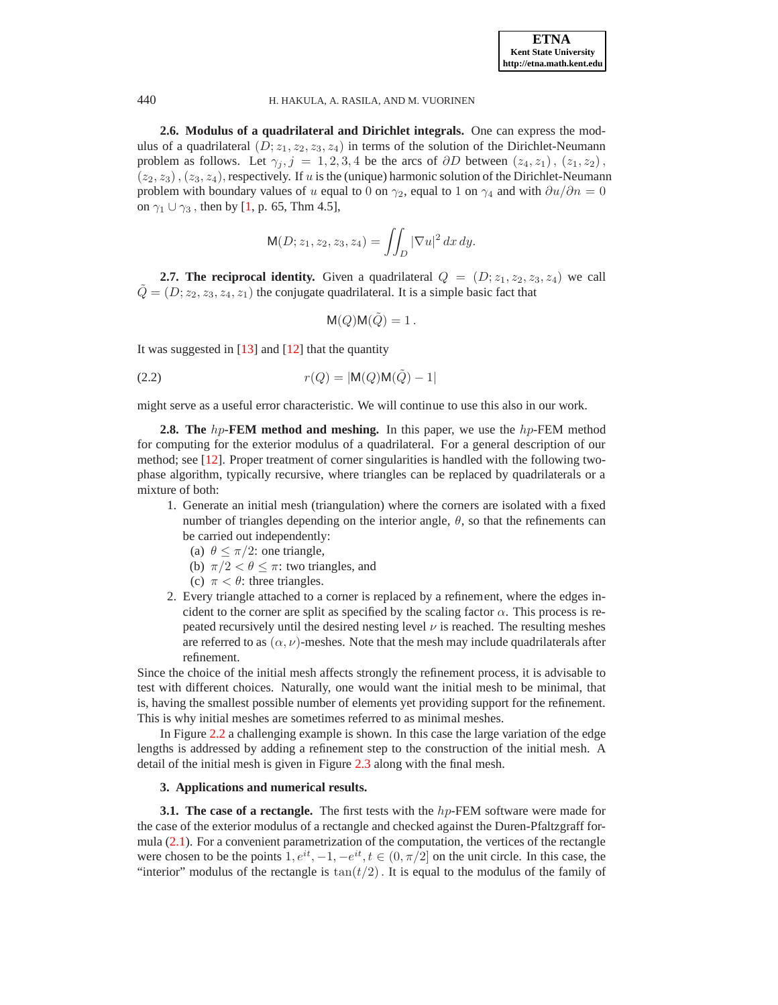**2.6. Modulus of a quadrilateral and Dirichlet integrals.** One can express the modulus of a quadrilateral  $(D; z_1, z_2, z_3, z_4)$  in terms of the solution of the Dirichlet-Neumann problem as follows. Let  $\gamma_i$ ,  $j = 1, 2, 3, 4$  be the arcs of  $\partial D$  between  $(z_4, z_1)$ ,  $(z_1, z_2)$ ,  $(z_2, z_3)$ ,  $(z_3, z_4)$ , respectively. If u is the (unique) harmonic solution of the Dirichlet-Neumann problem with boundary values of u equal to 0 on  $\gamma_2$ , equal to 1 on  $\gamma_4$  and with  $\partial u/\partial n = 0$ on  $\gamma_1 \cup \gamma_3$ , then by [\[1,](#page-14-0) p. 65, Thm 4.5],

$$
\mathsf{M}(D; z_1, z_2, z_3, z_4) = \iint_D |\nabla u|^2 \, dx \, dy.
$$

**2.7. The reciprocal identity.** Given a quadrilateral  $Q = (D; z_1, z_2, z_3, z_4)$  we call  $\tilde{Q} = (D; z_2, z_3, z_4, z_1)$  the conjugate quadrilateral. It is a simple basic fact that

<span id="page-4-0"></span>
$$
\mathsf{M}(Q)\mathsf{M}(\tilde{Q}) = 1.
$$

It was suggested in  $[13]$  and  $[12]$  that the quantity

(2.2) 
$$
r(Q) = |M(Q)M(\tilde{Q}) - 1|
$$

might serve as a useful error characteristic. We will continue to use this also in our work.

**2.8. The** hp-**FEM method and meshing.** In this paper, we use the hp-FEM method for computing for the exterior modulus of a quadrilateral. For a general description of our method; see [\[12\]](#page-15-7). Proper treatment of corner singularities is handled with the following twophase algorithm, typically recursive, where triangles can be replaced by quadrilaterals or a mixture of both:

- 1. Generate an initial mesh (triangulation) where the corners are isolated with a fixed number of triangles depending on the interior angle,  $\theta$ , so that the refinements can be carried out independently:
	- (a)  $\theta \leq \pi/2$ : one triangle,
	- (b)  $\pi/2 < \theta \leq \pi$ : two triangles, and
	- (c)  $\pi < \theta$ : three triangles.
- 2. Every triangle attached to a corner is replaced by a refinement, where the edges incident to the corner are split as specified by the scaling factor  $\alpha$ . This process is repeated recursively until the desired nesting level  $\nu$  is reached. The resulting meshes are referred to as  $(\alpha, \nu)$ -meshes. Note that the mesh may include quadrilaterals after refinement.

Since the choice of the initial mesh affects strongly the refinement process, it is advisable to test with different choices. Naturally, one would want the initial mesh to be minimal, that is, having the smallest possible number of elements yet providing support for the refinement. This is why initial meshes are sometimes referred to as minimal meshes.

In Figure [2.2](#page-7-0) a challenging example is shown. In this case the large variation of the edge lengths is addressed by adding a refinement step to the construction of the initial mesh. A detail of the initial mesh is given in Figure [2.3](#page-7-1) along with the final mesh.

# **3. Applications and numerical results.**

**3.1. The case of a rectangle.** The first tests with the h<sub>p</sub>-FEM software were made for the case of the exterior modulus of a rectangle and checked against the Duren-Pfaltzgraff formula [\(2.1\)](#page-3-0). For a convenient parametrization of the computation, the vertices of the rectangle were chosen to be the points  $1, e^{it}, -1, -e^{it}, t \in (0, \pi/2]$  on the unit circle. In this case, the "interior" modulus of the rectangle is  $tan(t/2)$ . It is equal to the modulus of the family of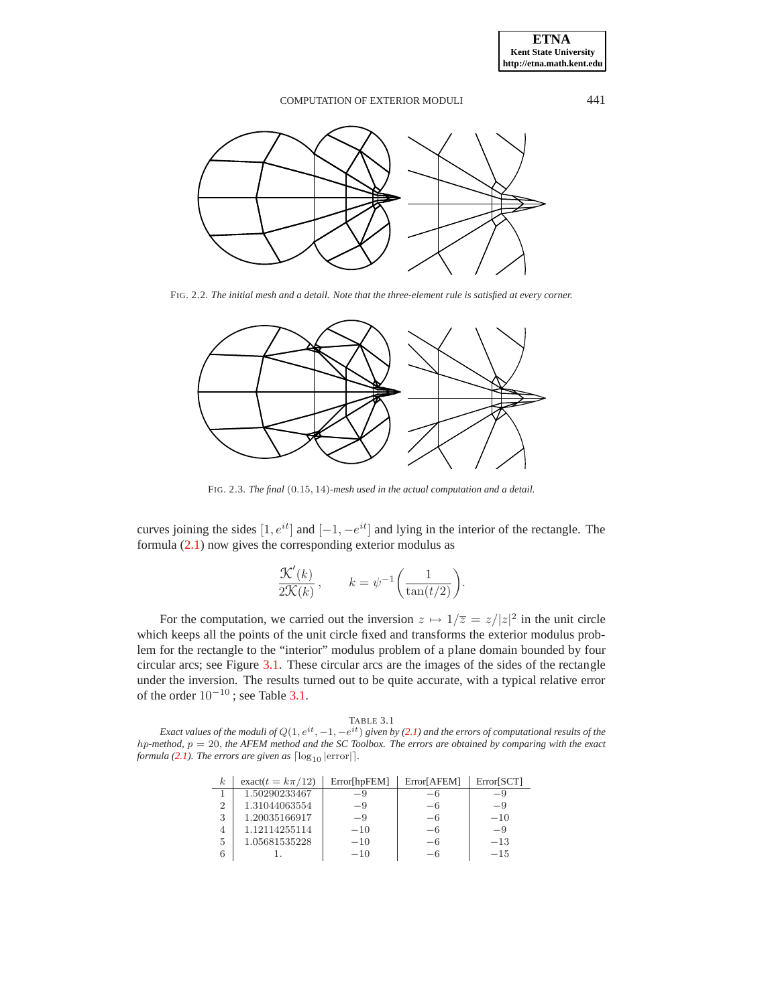

FIG. 2.2. *The initial mesh and a detail. Note that the three-element rule is satisfied at every corner.*



FIG. 2.3. *The final* (0.15, 14)*-mesh used in the actual computation and a detail.*

curves joining the sides  $[1, e^{it}]$  and  $[-1, -e^{it}]$  and lying in the interior of the rectangle. The formula [\(2.1\)](#page-3-0) now gives the corresponding exterior modulus as

$$
\frac{\mathcal{K}'(k)}{2\mathcal{K}(k)}, \qquad k = \psi^{-1}\bigg(\frac{1}{\tan(t/2)}\bigg).
$$

For the computation, we carried out the inversion  $z \mapsto 1/\overline{z} = z/|z|^2$  in the unit circle which keeps all the points of the unit circle fixed and transforms the exterior modulus problem for the rectangle to the "interior" modulus problem of a plane domain bounded by four circular arcs; see Figure [3.1.](#page-14-8) These circular arcs are the images of the sides of the rectangle under the inversion. The results turned out to be quite accurate, with a typical relative error of the order  $10^{-10}$ ; see Table [3.1.](#page-14-9)

|  | × |
|--|---|
|--|---|

*Exact values of the moduli of*  $Q(1, e^{it}, -1, -e^{it})$  *given by* [\(2.1\)](#page-3-0) *and the errors of computational results of the* hp*-method,* p = 20, *the AFEM method and the SC Toolbox. The errors are obtained by comparing with the exact formula* [\(2.1\)](#page-3-0). The errors are given as  $\lceil \log_{10} | \text{error} | \rceil$ .

| k.             | exact $(t = k\pi/12)$ | Error[hpFEM] | Error[AFEM] | Error[SCT] |
|----------------|-----------------------|--------------|-------------|------------|
|                | 1.50290233467         | -9           | —6          | -9         |
| $\overline{2}$ | 1.31044063554         | $-9$         | $-6$        | $-9$       |
| 3              | 1.20035166917         | $-9$         | $-6$        | $-10$      |
| 4              | 1.12114255114         | $-10$        | $-6$        | $-9$       |
| 5              | 1.05681535228         | $-10$        | -6          | $-13$      |
|                |                       | $-10$        | $-6$        | $-1.5$     |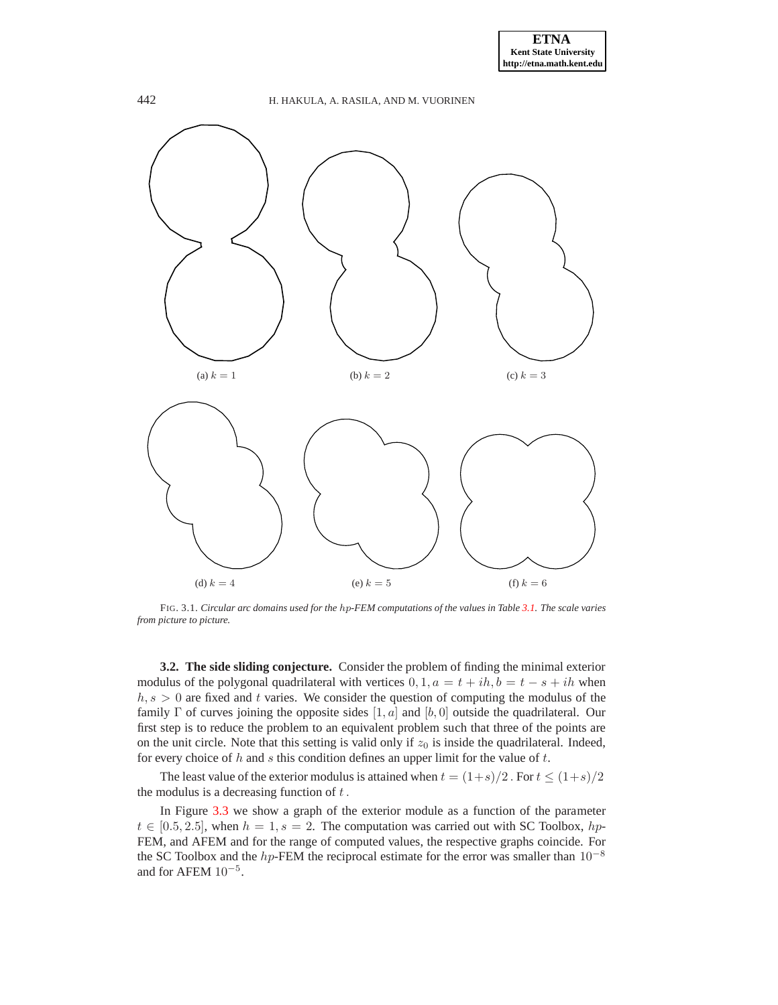# 442 H. HAKULA, A. RASILA, AND M. VUORINEN (a)  $k = 1$  (b)  $k = 2$  (c)  $k = 3$ (d)  $k = 4$  (e)  $k = 5$  (f)  $k = 6$

FIG. 3.1. *Circular arc domains used for the* hp*-FEM computations of the values in Table [3.1.](#page-14-9) The scale varies from picture to picture.*

**3.2. The side sliding conjecture.** Consider the problem of finding the minimal exterior modulus of the polygonal quadrilateral with vertices  $0, 1, a = t + ih, b = t - s + ih$  when  $h, s > 0$  are fixed and t varies. We consider the question of computing the modulus of the family  $\Gamma$  of curves joining the opposite sides  $[1, a]$  and  $[b, 0]$  outside the quadrilateral. Our first step is to reduce the problem to an equivalent problem such that three of the points are on the unit circle. Note that this setting is valid only if  $z_0$  is inside the quadrilateral. Indeed, for every choice of  $h$  and  $s$  this condition defines an upper limit for the value of  $t$ .

The least value of the exterior modulus is attained when  $t = (1+s)/2$ . For  $t \le (1+s)/2$ the modulus is a decreasing function of  $t$ .

In Figure [3.3](#page-7-1) we show a graph of the exterior module as a function of the parameter  $t \in [0.5, 2.5]$ , when  $h = 1$ ,  $s = 2$ . The computation was carried out with SC Toolbox, hp-FEM, and AFEM and for the range of computed values, the respective graphs coincide. For the SC Toolbox and the hp-FEM the reciprocal estimate for the error was smaller than  $10^{-8}$ and for AFEM  $10^{-5}$ .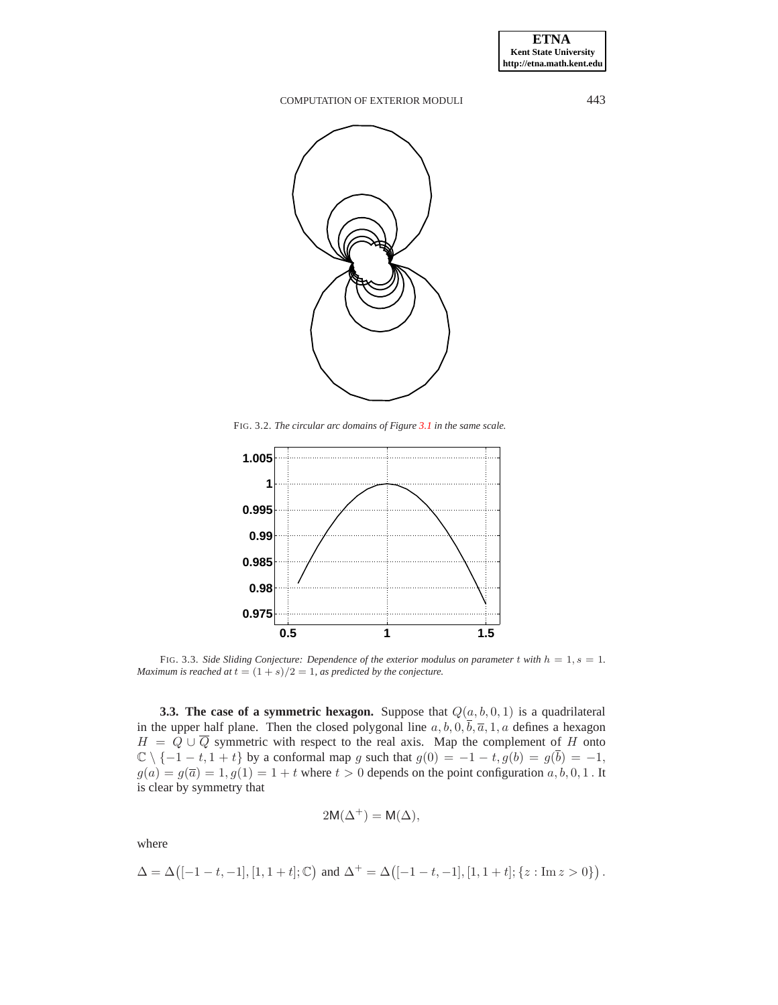

FIG. 3.2. *The circular arc domains of Figure [3.1](#page-14-8) in the same scale.*

<span id="page-7-0"></span>

<span id="page-7-1"></span>FIG. 3.3. Side Sliding Conjecture: Dependence of the exterior modulus on parameter t with  $h = 1, s = 1$ . *Maximum is reached at*  $t = (1 + s)/2 = 1$ *, as predicted by the conjecture.* 

**3.3. The case of a symmetric hexagon.** Suppose that  $Q(a, b, 0, 1)$  is a quadrilateral in the upper half plane. Then the closed polygonal line  $a, b, 0, \overline{b}, \overline{a}, 1, a$  defines a hexagon  $H = Q \cup \overline{Q}$  symmetric with respect to the real axis. Map the complement of H onto  $\mathbb{C} \setminus \{-1-t, 1+t\}$  by a conformal map g such that  $g(0) = -1-t$ ,  $g(b) = g(\overline{b}) = -1$ ,  $g(a) = g(\overline{a}) = 1, g(1) = 1 + t$  where  $t > 0$  depends on the point configuration  $a, b, 0, 1$ . It is clear by symmetry that

$$
2\mathsf{M}(\Delta^+) = \mathsf{M}(\Delta),
$$

where

$$
\Delta = \Delta \big([-1-t,-1],[1,1+t];\mathbb{C}\big) \text{ and } \Delta^+ = \Delta \big([-1-t,-1],[1,1+t];\{z:\text{Im } z>0\}\big) \,.
$$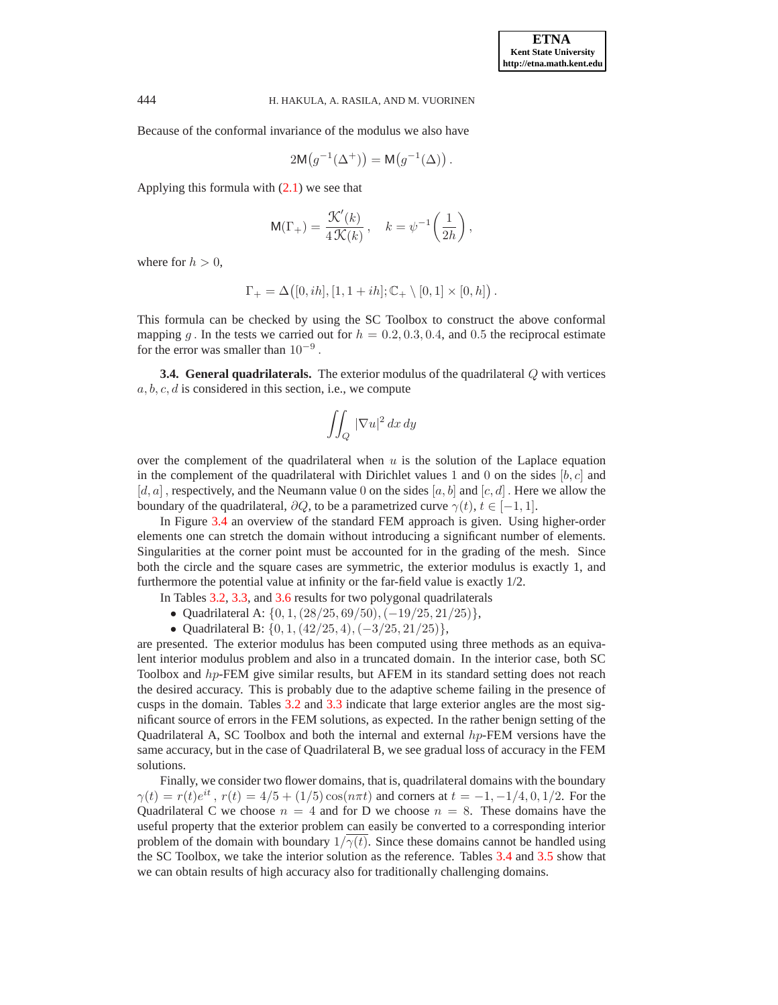Because of the conformal invariance of the modulus we also have

$$
2\mathsf{M}(g^{-1}(\Delta^+)) = \mathsf{M}(g^{-1}(\Delta)).
$$

Applying this formula with  $(2.1)$  we see that

$$
\mathsf{M}(\Gamma_+) = \frac{\mathcal{K}'(k)}{4\,\mathcal{K}(k)}\,, \quad k = \psi^{-1}\bigg(\frac{1}{2h}\bigg)\,,
$$

where for  $h > 0$ ,

$$
\Gamma_+ = \Delta([0, ih], [1, 1 + ih]; \mathbb{C}_+ \setminus [0, 1] \times [0, h]).
$$

This formula can be checked by using the SC Toolbox to construct the above conformal mapping g. In the tests we carried out for  $h = 0.2, 0.3, 0.4$ , and 0.5 the reciprocal estimate for the error was smaller than  $10^{-9}$ .

**3.4. General quadrilaterals.** The exterior modulus of the quadrilateral Q with vertices  $a, b, c, d$  is considered in this section, i.e., we compute

$$
\iint_Q |\nabla u|^2 \, dx \, dy
$$

over the complement of the quadrilateral when  $u$  is the solution of the Laplace equation in the complement of the quadrilateral with Dirichlet values 1 and 0 on the sides  $[b, c]$  and  $[d, a]$ , respectively, and the Neumann value 0 on the sides  $[a, b]$  and  $[c, d]$ . Here we allow the boundary of the quadrilateral,  $\partial Q$ , to be a parametrized curve  $\gamma(t)$ ,  $t \in [-1, 1]$ .

In Figure [3.4](#page-9-0) an overview of the standard FEM approach is given. Using higher-order elements one can stretch the domain without introducing a significant number of elements. Singularities at the corner point must be accounted for in the grading of the mesh. Since both the circle and the square cases are symmetric, the exterior modulus is exactly 1, and furthermore the potential value at infinity or the far-field value is exactly 1/2.

In Tables [3.2,](#page-10-0) [3.3,](#page-10-1) and [3.6](#page-12-0) results for two polygonal quadrilaterals

- Quadrilateral A:  $\{0, 1, (28/25, 69/50), (-19/25, 21/25)\},$
- Quadrilateral B:  $\{0, 1, (42/25, 4), (-3/25, 21/25)\},$

are presented. The exterior modulus has been computed using three methods as an equivalent interior modulus problem and also in a truncated domain. In the interior case, both SC Toolbox and hp-FEM give similar results, but AFEM in its standard setting does not reach the desired accuracy. This is probably due to the adaptive scheme failing in the presence of cusps in the domain. Tables [3.2](#page-10-0) and [3.3](#page-10-1) indicate that large exterior angles are the most significant source of errors in the FEM solutions, as expected. In the rather benign setting of the Quadrilateral A, SC Toolbox and both the internal and external hp-FEM versions have the same accuracy, but in the case of Quadrilateral B, we see gradual loss of accuracy in the FEM solutions.

Finally, we consider two flower domains, that is, quadrilateral domains with the boundary  $\gamma(t) = r(t)e^{it}$ ,  $r(t) = 4/5 + (1/5)\cos(n\pi t)$  and corners at  $t = -1, -1/4, 0, 1/2$ . For the Quadrilateral C we choose  $n = 4$  and for D we choose  $n = 8$ . These domains have the useful property that the exterior problem can easily be converted to a corresponding interior problem of the domain with boundary  $1/\gamma(t)$ . Since these domains cannot be handled using the SC Toolbox, we take the interior solution as the reference. Tables [3.4](#page-11-0) and [3.5](#page-11-1) show that we can obtain results of high accuracy also for traditionally challenging domains.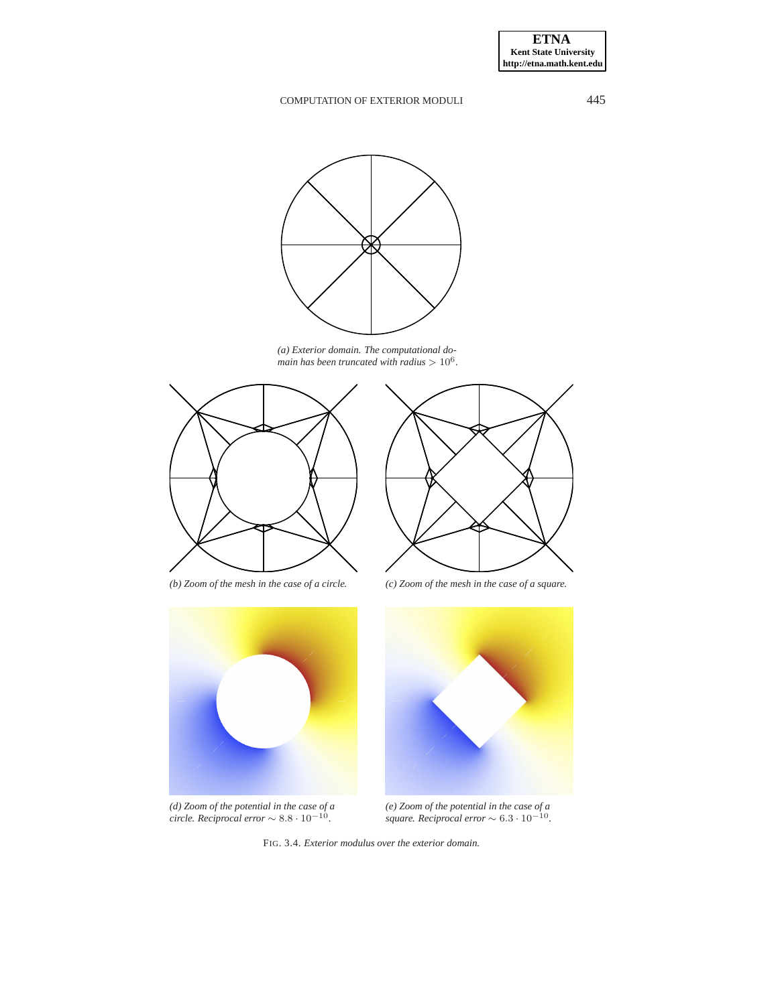

*(a) Exterior domain. The computational domain has been truncated with radius* > 10<sup>6</sup> *.*





*(d) Zoom of the potential in the case of a circle. Reciprocal error* ∼ 8.8 · 10−<sup>10</sup> *.*



*(b) Zoom of the mesh in the case of a circle. (c) Zoom of the mesh in the case of a square.*



*(e) Zoom of the potential in the case of a square. Reciprocal error* ∼ 6.3 · 10−<sup>10</sup> *.*

<span id="page-9-0"></span>FIG. 3.4. *Exterior modulus over the exterior domain.*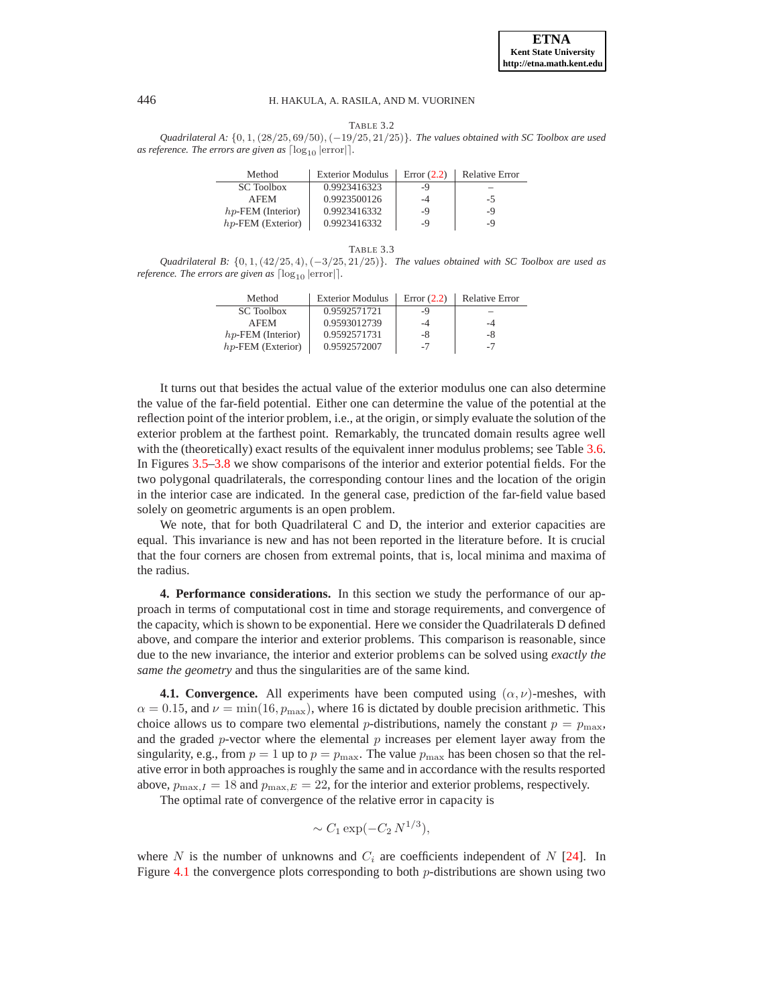

TABLE 3.2

<span id="page-10-0"></span>*Quadrilateral A:* {0, 1, (28/25, 69/50), (−19/25, 21/25)}*. The values obtained with SC Toolbox are used as reference. The errors are given as*  $\lceil \log_{10} | \text{error} | \rceil$ *.* 

| Method               | <b>Exterior Modulus</b> | Error $(2.2)$ | <b>Relative Error</b> |
|----------------------|-------------------------|---------------|-----------------------|
| <b>SC</b> Toolbox    | 0.9923416323            | -9            |                       |
| <b>AFEM</b>          | 0.9923500126            | -4            | $-5$                  |
| $hp$ -FEM (Interior) | 0.9923416332            | -9            | -9                    |
| $hp$ -FEM (Exterior) | 0.9923416332            | -9            | -9                    |

| L<br>R<br>۰.<br>× |
|-------------------|
|-------------------|

<span id="page-10-1"></span>*Quadrilateral B:* {0, 1, (42/25, 4), (−3/25, 21/25)}*. The values obtained with SC Toolbox are used as reference. The errors are given as*  $\lceil \log_{10} | \text{error} \rceil$ .

| Method               | <b>Exterior Modulus</b> | Error $(2.2)$ | <b>Relative Error</b> |
|----------------------|-------------------------|---------------|-----------------------|
| <b>SC</b> Toolbox    | 0.9592571721            | -9            |                       |
| <b>AFEM</b>          | 0.9593012739            | -4            | -4                    |
| $hp$ -FEM (Interior) | 0.9592571731            | -8            | -8                    |
| $hp$ -FEM (Exterior) | 0.9592572007            | -7            | $-7$                  |

It turns out that besides the actual value of the exterior modulus one can also determine the value of the far-field potential. Either one can determine the value of the potential at the reflection point of the interior problem, i.e., at the origin, or simply evaluate the solution of the exterior problem at the farthest point. Remarkably, the truncated domain results agree well with the (theoretically) exact results of the equivalent inner modulus problems; see Table [3.6.](#page-12-0) In Figures [3.5–](#page-12-1)[3.8](#page-13-0) we show comparisons of the interior and exterior potential fields. For the two polygonal quadrilaterals, the corresponding contour lines and the location of the origin in the interior case are indicated. In the general case, prediction of the far-field value based solely on geometric arguments is an open problem.

We note, that for both Quadrilateral C and D, the interior and exterior capacities are equal. This invariance is new and has not been reported in the literature before. It is crucial that the four corners are chosen from extremal points, that is, local minima and maxima of the radius.

**4. Performance considerations.** In this section we study the performance of our approach in terms of computational cost in time and storage requirements, and convergence of the capacity, which is shown to be exponential. Here we consider the Quadrilaterals D defined above, and compare the interior and exterior problems. This comparison is reasonable, since due to the new invariance, the interior and exterior problems can be solved using *exactly the same the geometry* and thus the singularities are of the same kind.

**4.1. Convergence.** All experiments have been computed using  $(\alpha, \nu)$ -meshes, with  $\alpha = 0.15$ , and  $\nu = \min(16, p_{\max})$ , where 16 is dictated by double precision arithmetic. This choice allows us to compare two elemental *p*-distributions, namely the constant  $p = p_{\text{max}}$ , and the graded p-vector where the elemental  $p$  increases per element layer away from the singularity, e.g., from  $p = 1$  up to  $p = p_{\text{max}}$ . The value  $p_{\text{max}}$  has been chosen so that the relative error in both approaches is roughly the same and in accordance with the results resported above,  $p_{\text{max},I} = 18$  and  $p_{\text{max},E} = 22$ , for the interior and exterior problems, respectively.

The optimal rate of convergence of the relative error in capacity is

$$
\sim C_1 \exp(-C_2 N^{1/3}),
$$

where N is the number of unknowns and  $C_i$  are coefficients independent of N [\[24\]](#page-15-13). In Figure [4.1](#page-14-8) the convergence plots corresponding to both  $p$ -distributions are shown using two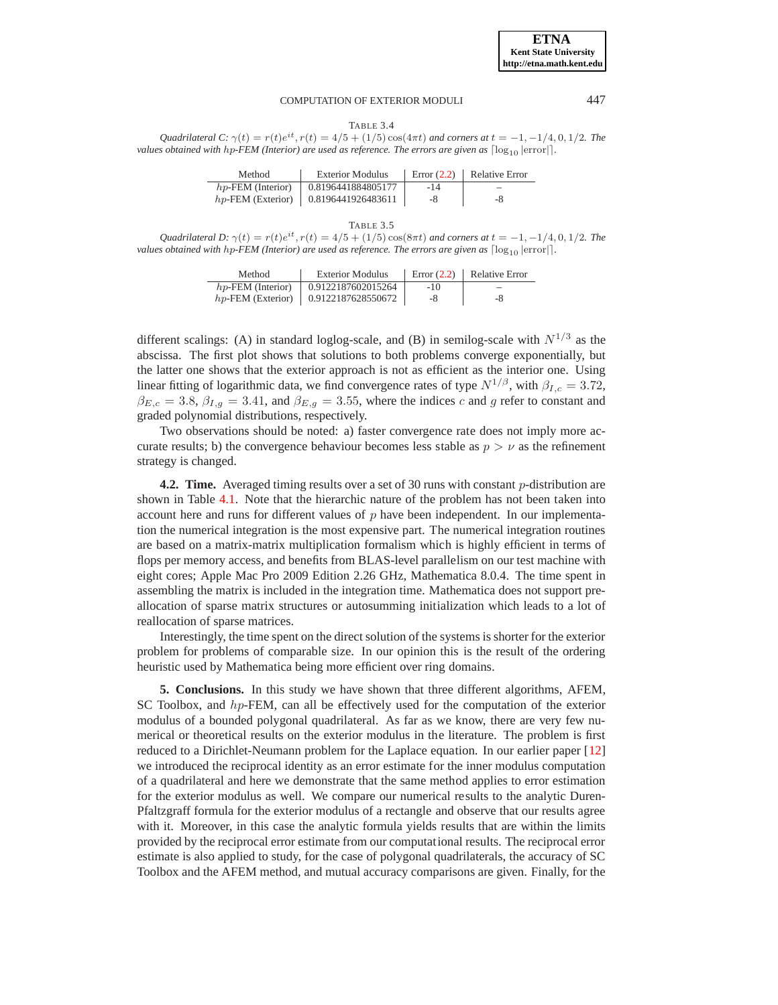TABLE 3.4

<span id="page-11-0"></span>*Quadrilateral C:*  $\gamma(t) = r(t)e^{it}$ ,  $r(t) = 4/5 + (1/5)\cos(4\pi t)$  *and corners at*  $t = -1, -1/4, 0, 1/2$ *. The values obtained with hp-FEM (Interior) are used as reference. The errors are given as*  $\lceil \log_{10} |$ error $\rceil$ *.* 

| Method               | <b>Exterior Modulus</b>                   |       | Error $(2.2)$   Relative Error |
|----------------------|-------------------------------------------|-------|--------------------------------|
| $hp$ -FEM (Interior) | $\mid$ 0.8196441884805177                 | $-14$ |                                |
|                      | $hp$ -FEM (Exterior)   0.8196441926483611 | -8    | -8                             |

### TABLE 3.5

<span id="page-11-1"></span>*Quadrilateral D:*  $\gamma(t) = r(t)e^{it}$ ,  $r(t) = 4/5 + (1/5) \cos(8\pi t)$  *and corners at*  $t = -1, -1/4, 0, 1/2$ *. The values obtained with hp-FEM (Interior) are used as reference. The errors are given as*  $\lceil log_{10}|error \rceil$ *.* 

| Method | <b>Exterior Modulus</b>                   | Error $(2.2)$ | Relative Error |
|--------|-------------------------------------------|---------------|----------------|
|        | $hp$ -FEM (Interior)   0.9122187602015264 | $-10$         |                |
|        | $hp$ -FEM (Exterior)   0.9122187628550672 | -8            | -8             |

different scalings: (A) in standard loglog-scale, and (B) in semilog-scale with  $N^{1/3}$  as the abscissa. The first plot shows that solutions to both problems converge exponentially, but the latter one shows that the exterior approach is not as efficient as the interior one. Using linear fitting of logarithmic data, we find convergence rates of type  $N^{1/\beta}$ , with  $\beta_{L,c} = 3.72$ ,  $\beta_{E,c} = 3.8, \beta_{I,g} = 3.41$ , and  $\beta_{E,g} = 3.55$ , where the indices c and g refer to constant and graded polynomial distributions, respectively.

Two observations should be noted: a) faster convergence rate does not imply more accurate results; b) the convergence behaviour becomes less stable as  $p > \nu$  as the refinement strategy is changed.

**4.2. Time.** Averaged timing results over a set of 30 runs with constant *p*-distribution are shown in Table [4.1.](#page-14-9) Note that the hierarchic nature of the problem has not been taken into account here and runs for different values of  $p$  have been independent. In our implementation the numerical integration is the most expensive part. The numerical integration routines are based on a matrix-matrix multiplication formalism which is highly efficient in terms of flops per memory access, and benefits from BLAS-level parallelism on our test machine with eight cores; Apple Mac Pro 2009 Edition 2.26 GHz, Mathematica 8.0.4. The time spent in assembling the matrix is included in the integration time. Mathematica does not support preallocation of sparse matrix structures or autosumming initialization which leads to a lot of reallocation of sparse matrices.

Interestingly, the time spent on the direct solution of the systems is shorter for the exterior problem for problems of comparable size. In our opinion this is the result of the ordering heuristic used by Mathematica being more efficient over ring domains.

**5. Conclusions.** In this study we have shown that three different algorithms, AFEM, SC Toolbox, and hp-FEM, can all be effectively used for the computation of the exterior modulus of a bounded polygonal quadrilateral. As far as we know, there are very few numerical or theoretical results on the exterior modulus in the literature. The problem is first reduced to a Dirichlet-Neumann problem for the Laplace equation. In our earlier paper [\[12\]](#page-15-7) we introduced the reciprocal identity as an error estimate for the inner modulus computation of a quadrilateral and here we demonstrate that the same method applies to error estimation for the exterior modulus as well. We compare our numerical results to the analytic Duren-Pfaltzgraff formula for the exterior modulus of a rectangle and observe that our results agree with it. Moreover, in this case the analytic formula yields results that are within the limits provided by the reciprocal error estimate from our computational results. The reciprocal error estimate is also applied to study, for the case of polygonal quadrilaterals, the accuracy of SC Toolbox and the AFEM method, and mutual accuracy comparisons are given. Finally, for the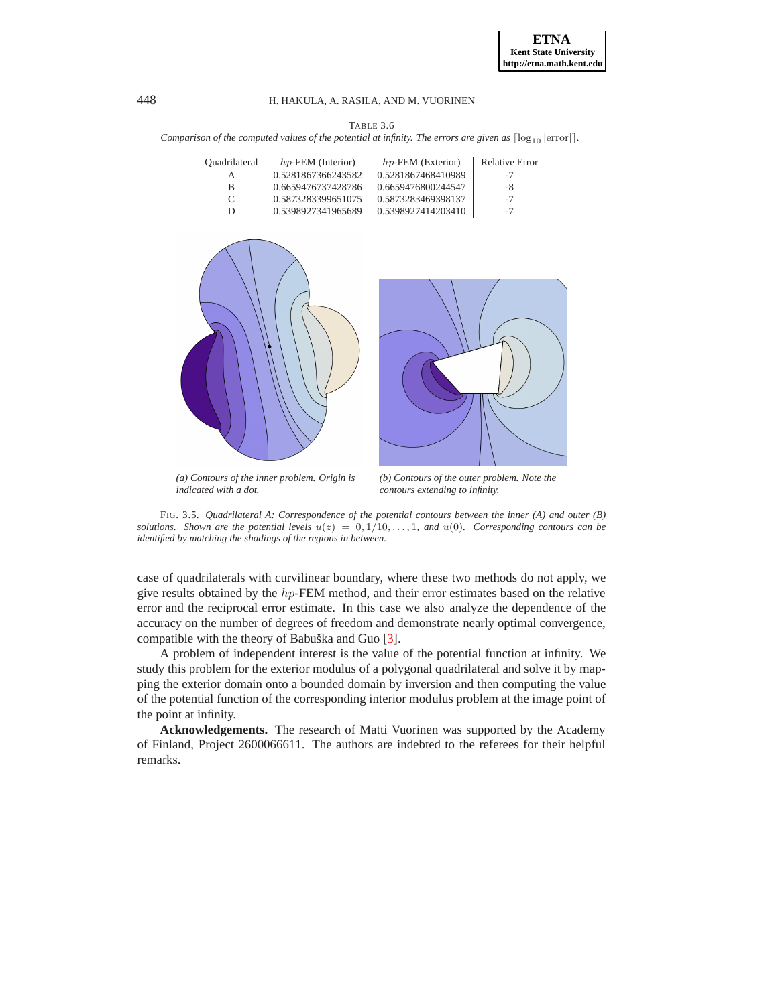TABLE 3.6 *Comparison of the computed values of the potential at infinity. The errors are given as*  $\lceil \log_{10} |$ error $\rceil$ *.* 

| Ouadrilateral | $hp$ -FEM (Interior) | $hp$ -FEM (Exterior) | <b>Relative Error</b> |
|---------------|----------------------|----------------------|-----------------------|
|               | 0.5281867366243582   | 0.5281867468410989   | -7                    |
|               | 0.6659476737428786   | 0.6659476800244547   | -8                    |
| $\mathcal{C}$ | 0.5873283399651075   | 0.5873283469398137   | -7                    |
|               | 0.5398927341965689   | 0.5398927414203410   | $-7$                  |





*(a) Contours of the inner problem. Origin is indicated with a dot.*

*(b) Contours of the outer problem. Note the contours extending to infinity.*

<span id="page-12-1"></span>FIG. 3.5. *Quadrilateral A: Correspondence of the potential contours between the inner (A) and outer (B) solutions. Shown are the potential levels*  $u(z) = 0, 1/10, \ldots, 1$ *, and*  $u(0)$ *. Corresponding contours can be identified by matching the shadings of the regions in between.*

case of quadrilaterals with curvilinear boundary, where these two methods do not apply, we give results obtained by the  $hp$ -FEM method, and their error estimates based on the relative error and the reciprocal error estimate. In this case we also analyze the dependence of the accuracy on the number of degrees of freedom and demonstrate nearly optimal convergence, compatible with the theory of Babuška and Guo  $[3]$  $[3]$ .

A problem of independent interest is the value of the potential function at infinity. We study this problem for the exterior modulus of a polygonal quadrilateral and solve it by mapping the exterior domain onto a bounded domain by inversion and then computing the value of the potential function of the corresponding interior modulus problem at the image point of the point at infinity.

**Acknowledgements.** The research of Matti Vuorinen was supported by the Academy of Finland, Project 2600066611. The authors are indebted to the referees for their helpful remarks.

<span id="page-12-0"></span>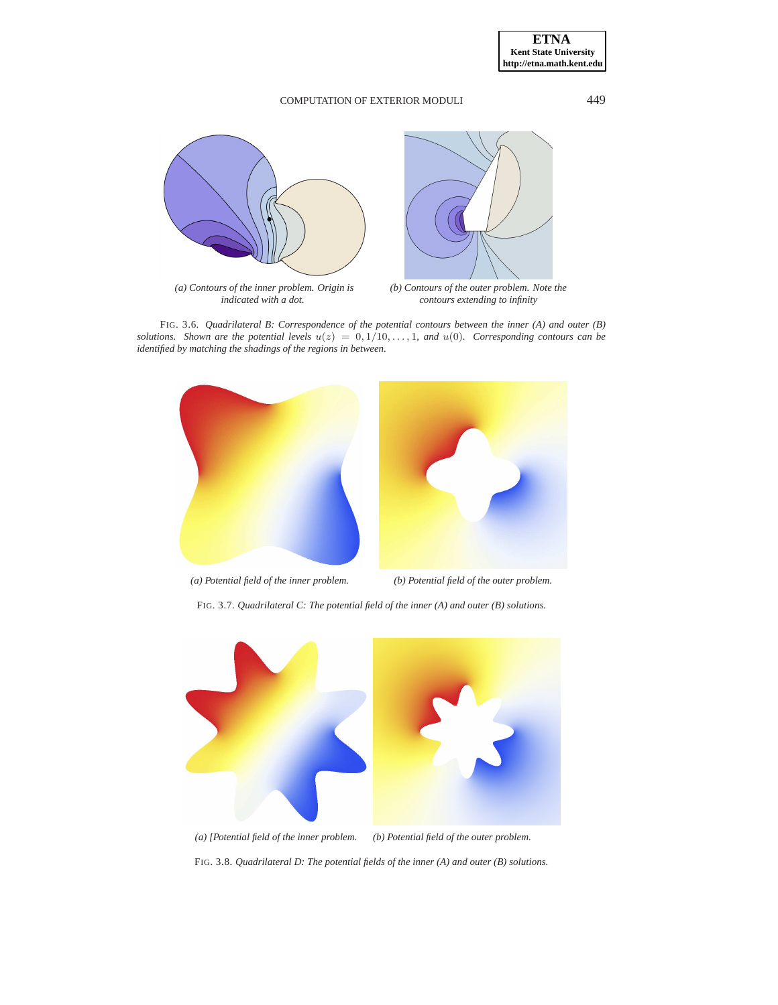

FIG. 3.6. *Quadrilateral B: Correspondence of the potential contours between the inner (A) and outer (B) solutions.* Shown are the potential levels  $u(z) = 0, 1/10, \ldots, 1$ , and  $u(0)$ . Corresponding contours can be *identified by matching the shadings of the regions in between.*



FIG. 3.7. *Quadrilateral C: The potential field of the inner (A) and outer (B) solutions.*



<span id="page-13-0"></span>FIG. 3.8. *Quadrilateral D: The potential fields of the inner (A) and outer (B) solutions.*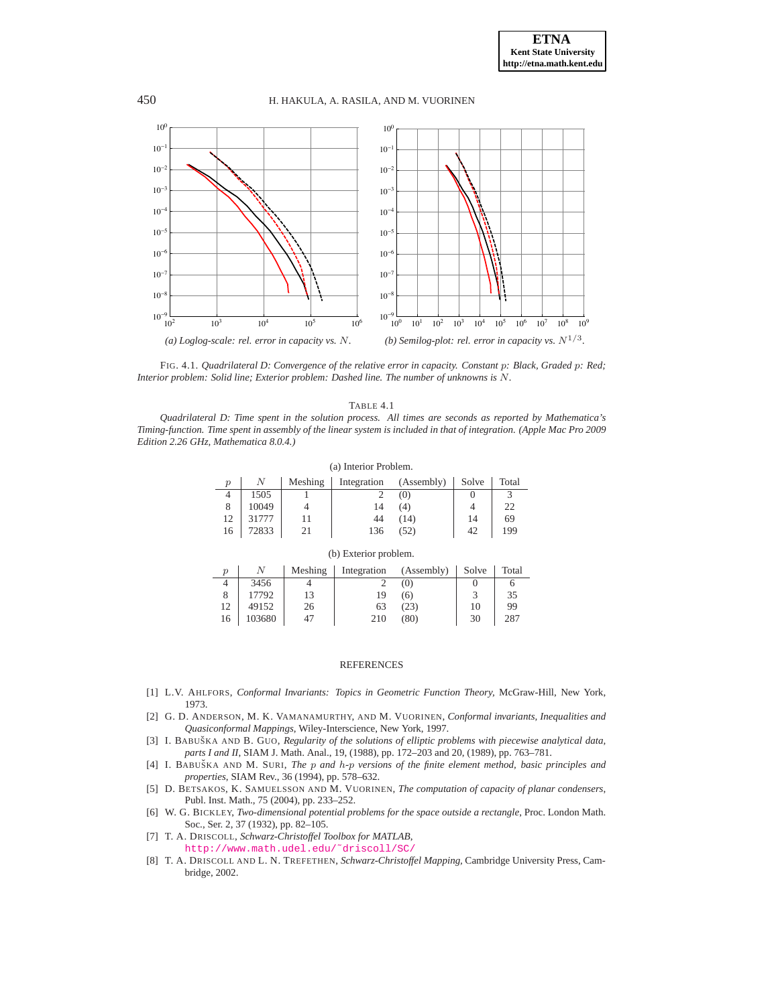

<span id="page-14-8"></span>FIG. 4.1. *Quadrilateral D: Convergence of the relative error in capacity. Constant* p*: Black, Graded* p*: Red; Interior problem: Solid line; Exterior problem: Dashed line. The number of unknowns is* N*.*

TABLE 4.1

<span id="page-14-9"></span>*Quadrilateral D: Time spent in the solution process. All times are seconds as reported by Mathematica's Timing-function. Time spent in assembly of the linear system is included in that of integration. (Apple Mac Pro 2009 Edition 2.26 GHz, Mathematica 8.0.4.)*

| (a) Interior Problem. |       |         |             |            |       |       |
|-----------------------|-------|---------|-------------|------------|-------|-------|
| $\mathcal{p}$         | N     | Meshing | Integration | (Assembly) | Solve | Total |
| 4                     | 1505  |         |             | (0)        |       |       |
| 8                     | 10049 |         | 14          | (4)        |       | 22    |
| 12                    | 31777 |         | 44          | (14)       | 14    | 69    |
| 16                    | 72833 | 21      | 136         | (52)       | 42    | 199   |

| $\boldsymbol{p}$ |        | Meshing | Integration | (Assembly) | Solve                   | Total |
|------------------|--------|---------|-------------|------------|-------------------------|-------|
| 4                | 3456   |         |             | (0)        |                         |       |
| 8                | 17792  | 13      | 19          | (6)        | $\overline{\mathbf{c}}$ | 35    |
| 12               | 49152  | 26      | 63          | (23)       | 10                      | 99    |
| 16               | 103680 | 47      | 210         | (80)       | 30                      | 287   |

(b) Exterior problem.

#### **REFERENCES**

- <span id="page-14-0"></span>[1] L.V. AHLFORS, *Conformal Invariants: Topics in Geometric Function Theory,* McGraw-Hill, New York, 1973.
- <span id="page-14-5"></span>[2] G. D. ANDERSON, M. K. VAMANAMURTHY, AND M. VUORINEN, *Conformal invariants, Inequalities and Quasiconformal Mappings*, Wiley-Interscience, New York, 1997.
- <span id="page-14-6"></span>[3] I. BABUŠKA AND B. GUO, *Regularity of the solutions of elliptic problems with piecewise analytical data*, *parts I and II*, SIAM J. Math. Anal., 19, (1988), pp. 172–203 and 20, (1989), pp. 763–781.
- <span id="page-14-4"></span>[4] I. BABUŠKA AND M. SURI, *The p and h-p versions of the finite element method, basic principles and properties*, SIAM Rev., 36 (1994), pp. 578–632.
- <span id="page-14-2"></span>[5] D. BETSAKOS, K. SAMUELSSON AND M. VUORINEN, *The computation of capacity of planar condensers*, Publ. Inst. Math., 75 (2004), pp. 233–252.
- <span id="page-14-7"></span>[6] W. G. BICKLEY, *Two-dimensional potential problems for the space outside a rectangle*, Proc. London Math. Soc., Ser. 2, 37 (1932), pp. 82–105.
- <span id="page-14-3"></span>[7] T. A. DRISCOLL, *Schwarz-Christoffel Toolbox for MATLAB*, [http://www.math.udel.edu/˜driscoll/SC/](http://www.math.udel.edu/~driscoll/SC/)
- <span id="page-14-1"></span>[8] T. A. DRISCOLL AND L. N. TREFETHEN, *Schwarz-Christoffel Mapping,* Cambridge University Press, Cambridge, 2002.